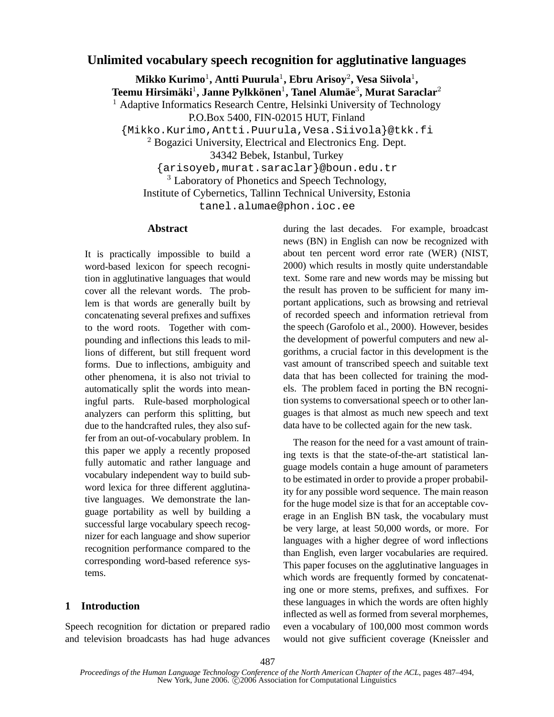# **Unlimited vocabulary speech recognition for agglutinative languages**

**Mikko Kurimo**<sup>1</sup> **, Antti Puurula**<sup>1</sup> **, Ebru Arisoy**<sup>2</sup> **, Vesa Siivola**<sup>1</sup> **,**  $\textbf{T}$ eemu Hirsimäki<sup>1</sup>, Janne Pylkkönen<sup>1</sup>, Tanel Alumäe<sup>3</sup>, Murat Saraclar<sup>2</sup> <sup>1</sup> Adaptive Informatics Research Centre, Helsinki University of Technology P.O.Box 5400, FIN-02015 HUT, Finland {Mikko.Kurimo,Antti.Puurula,Vesa.Siivola}@tkk.fi <sup>2</sup> Bogazici University, Electrical and Electronics Eng. Dept. 34342 Bebek, Istanbul, Turkey {arisoyeb,murat.saraclar}@boun.edu.tr <sup>3</sup> Laboratory of Phonetics and Speech Technology, Institute of Cybernetics, Tallinn Technical University, Estonia tanel.alumae@phon.ioc.ee

#### **Abstract**

It is practically impossible to build a word-based lexicon for speech recognition in agglutinative languages that would cover all the relevant words. The problem is that words are generally built by concatenating several prefixes and suffixes to the word roots. Together with compounding and inflections this leads to millions of different, but still frequent word forms. Due to inflections, ambiguity and other phenomena, it is also not trivial to automatically split the words into meaningful parts. Rule-based morphological analyzers can perform this splitting, but due to the handcrafted rules, they also suffer from an out-of-vocabulary problem. In this paper we apply a recently proposed fully automatic and rather language and vocabulary independent way to build subword lexica for three different agglutinative languages. We demonstrate the language portability as well by building a successful large vocabulary speech recognizer for each language and show superior recognition performance compared to the corresponding word-based reference systems.

## **1 Introduction**

Speech recognition for dictation or prepared radio and television broadcasts has had huge advances during the last decades. For example, broadcast news (BN) in English can now be recognized with about ten percent word error rate (WER) (NIST, 2000) which results in mostly quite understandable text. Some rare and new words may be missing but the result has proven to be sufficient for many important applications, such as browsing and retrieval of recorded speech and information retrieval from the speech (Garofolo et al., 2000). However, besides the development of powerful computers and new algorithms, a crucial factor in this development is the vast amount of transcribed speech and suitable text data that has been collected for training the models. The problem faced in porting the BN recognition systems to conversational speech or to other languages is that almost as much new speech and text data have to be collected again for the new task.

The reason for the need for a vast amount of training texts is that the state-of-the-art statistical language models contain a huge amount of parameters to be estimated in order to provide a proper probability for any possible word sequence. The main reason for the huge model size is that for an acceptable coverage in an English BN task, the vocabulary must be very large, at least 50,000 words, or more. For languages with a higher degree of word inflections than English, even larger vocabularies are required. This paper focuses on the agglutinative languages in which words are frequently formed by concatenating one or more stems, prefixes, and suffixes. For these languages in which the words are often highly inflected as well as formed from several morphemes, even a vocabulary of 100,000 most common words would not give sufficient coverage (Kneissler and

*Proceedings of the Human Language Technology Conference of the North American Chapter of the ACL*, pages 487–494, New York, June 2006. C 2006 Association for Computational Linguistics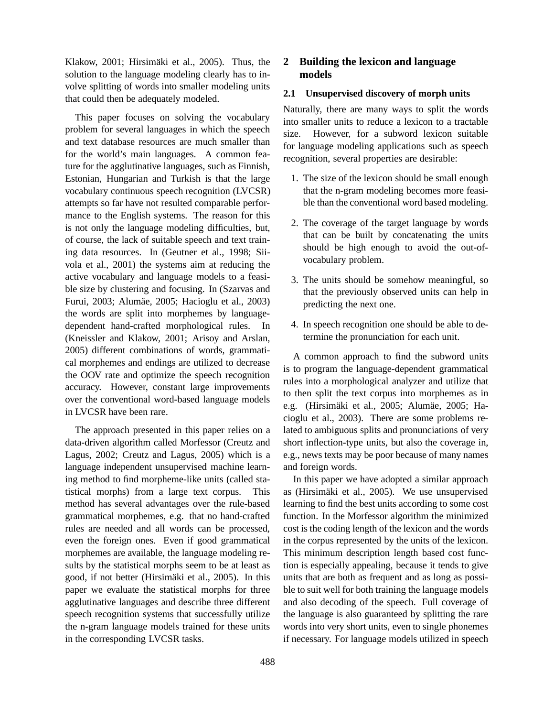Klakow, 2001; Hirsimäki et al., 2005). Thus, the solution to the language modeling clearly has to involve splitting of words into smaller modeling units that could then be adequately modeled.

This paper focuses on solving the vocabulary problem for several languages in which the speech and text database resources are much smaller than for the world's main languages. A common feature for the agglutinative languages, such as Finnish, Estonian, Hungarian and Turkish is that the large vocabulary continuous speech recognition (LVCSR) attempts so far have not resulted comparable performance to the English systems. The reason for this is not only the language modeling difficulties, but, of course, the lack of suitable speech and text training data resources. In (Geutner et al., 1998; Siivola et al., 2001) the systems aim at reducing the active vocabulary and language models to a feasible size by clustering and focusing. In (Szarvas and Furui, 2003; Alumäe, 2005; Hacioglu et al., 2003) the words are split into morphemes by languagedependent hand-crafted morphological rules. In (Kneissler and Klakow, 2001; Arisoy and Arslan, 2005) different combinations of words, grammatical morphemes and endings are utilized to decrease the OOV rate and optimize the speech recognition accuracy. However, constant large improvements over the conventional word-based language models in LVCSR have been rare.

The approach presented in this paper relies on a data-driven algorithm called Morfessor (Creutz and Lagus, 2002; Creutz and Lagus, 2005) which is a language independent unsupervised machine learning method to find morpheme-like units (called statistical morphs) from a large text corpus. This method has several advantages over the rule-based grammatical morphemes, e.g. that no hand-crafted rules are needed and all words can be processed, even the foreign ones. Even if good grammatical morphemes are available, the language modeling results by the statistical morphs seem to be at least as good, if not better (Hirsimäki et al., 2005). In this paper we evaluate the statistical morphs for three agglutinative languages and describe three different speech recognition systems that successfully utilize the n-gram language models trained for these units in the corresponding LVCSR tasks.

# **2 Building the lexicon and language models**

#### **2.1 Unsupervised discovery of morph units**

Naturally, there are many ways to split the words into smaller units to reduce a lexicon to a tractable size. However, for a subword lexicon suitable for language modeling applications such as speech recognition, several properties are desirable:

- 1. The size of the lexicon should be small enough that the n-gram modeling becomes more feasible than the conventional word based modeling.
- 2. The coverage of the target language by words that can be built by concatenating the units should be high enough to avoid the out-ofvocabulary problem.
- 3. The units should be somehow meaningful, so that the previously observed units can help in predicting the next one.
- 4. In speech recognition one should be able to determine the pronunciation for each unit.

A common approach to find the subword units is to program the language-dependent grammatical rules into a morphological analyzer and utilize that to then split the text corpus into morphemes as in e.g. (Hirsimäki et al., 2005; Alumäe, 2005; Hacioglu et al., 2003). There are some problems related to ambiguous splits and pronunciations of very short inflection-type units, but also the coverage in, e.g., news texts may be poor because of many names and foreign words.

In this paper we have adopted a similar approach as (Hirsimäki et al., 2005). We use unsupervised learning to find the best units according to some cost function. In the Morfessor algorithm the minimized cost is the coding length of the lexicon and the words in the corpus represented by the units of the lexicon. This minimum description length based cost function is especially appealing, because it tends to give units that are both as frequent and as long as possible to suit well for both training the language models and also decoding of the speech. Full coverage of the language is also guaranteed by splitting the rare words into very short units, even to single phonemes if necessary. For language models utilized in speech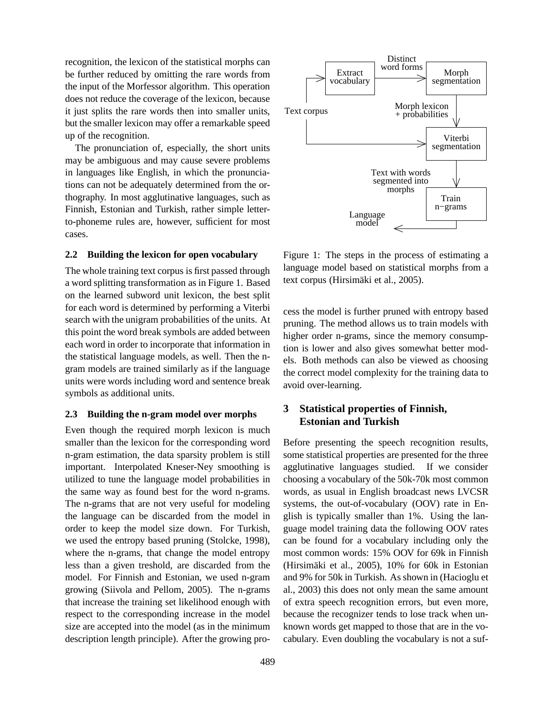recognition, the lexicon of the statistical morphs can be further reduced by omitting the rare words from the input of the Morfessor algorithm. This operation does not reduce the coverage of the lexicon, because it just splits the rare words then into smaller units, but the smaller lexicon may offer a remarkable speed up of the recognition.

The pronunciation of, especially, the short units may be ambiguous and may cause severe problems in languages like English, in which the pronunciations can not be adequately determined from the orthography. In most agglutinative languages, such as Finnish, Estonian and Turkish, rather simple letterto-phoneme rules are, however, sufficient for most cases.

### **2.2 Building the lexicon for open vocabulary**

The whole training text corpus is first passed through a word splitting transformation as in Figure 1. Based on the learned subword unit lexicon, the best split for each word is determined by performing a Viterbi search with the unigram probabilities of the units. At this point the word break symbols are added between each word in order to incorporate that information in the statistical language models, as well. Then the ngram models are trained similarly as if the language units were words including word and sentence break symbols as additional units.

#### **2.3 Building the n-gram model over morphs**

Even though the required morph lexicon is much smaller than the lexicon for the corresponding word n-gram estimation, the data sparsity problem is still important. Interpolated Kneser-Ney smoothing is utilized to tune the language model probabilities in the same way as found best for the word n-grams. The n-grams that are not very useful for modeling the language can be discarded from the model in order to keep the model size down. For Turkish, we used the entropy based pruning (Stolcke, 1998), where the n-grams, that change the model entropy less than a given treshold, are discarded from the model. For Finnish and Estonian, we used n-gram growing (Siivola and Pellom, 2005). The n-grams that increase the training set likelihood enough with respect to the corresponding increase in the model size are accepted into the model (as in the minimum description length principle). After the growing pro-



Figure 1: The steps in the process of estimating a language model based on statistical morphs from a text corpus (Hirsimäki et al., 2005).

cess the model is further pruned with entropy based pruning. The method allows us to train models with higher order n-grams, since the memory consumption is lower and also gives somewhat better models. Both methods can also be viewed as choosing the correct model complexity for the training data to avoid over-learning.

# **3 Statistical properties of Finnish, Estonian and Turkish**

Before presenting the speech recognition results, some statistical properties are presented for the three agglutinative languages studied. If we consider choosing a vocabulary of the 50k-70k most common words, as usual in English broadcast news LVCSR systems, the out-of-vocabulary (OOV) rate in English is typically smaller than 1%. Using the language model training data the following OOV rates can be found for a vocabulary including only the most common words: 15% OOV for 69k in Finnish (Hirsimäki et al., 2005), 10% for 60k in Estonian and 9% for 50k in Turkish. As shown in (Hacioglu et al., 2003) this does not only mean the same amount of extra speech recognition errors, but even more, because the recognizer tends to lose track when unknown words get mapped to those that are in the vocabulary. Even doubling the vocabulary is not a suf-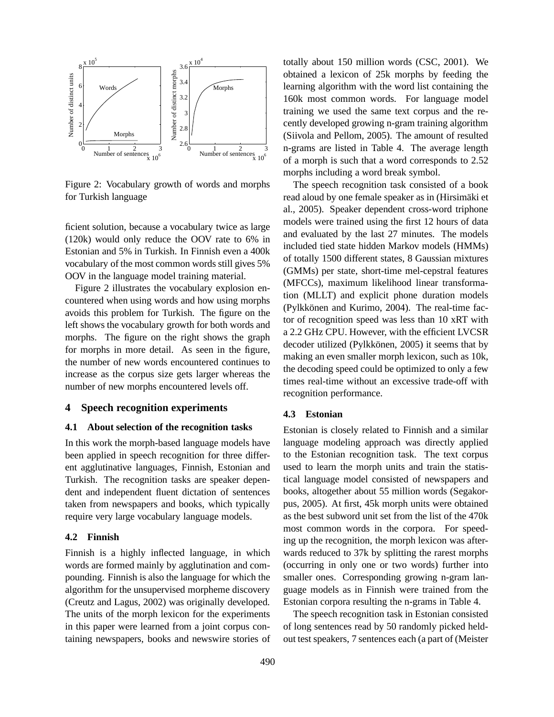

Figure 2: Vocabulary growth of words and morphs for Turkish language

ficient solution, because a vocabulary twice as large (120k) would only reduce the OOV rate to 6% in Estonian and 5% in Turkish. In Finnish even a 400k vocabulary of the most common words still gives 5% OOV in the language model training material.

Figure 2 illustrates the vocabulary explosion encountered when using words and how using morphs avoids this problem for Turkish. The figure on the left shows the vocabulary growth for both words and morphs. The figure on the right shows the graph for morphs in more detail. As seen in the figure, the number of new words encountered continues to increase as the corpus size gets larger whereas the number of new morphs encountered levels off.

# **4 Speech recognition experiments**

#### **4.1 About selection of the recognition tasks**

In this work the morph-based language models have been applied in speech recognition for three different agglutinative languages, Finnish, Estonian and Turkish. The recognition tasks are speaker dependent and independent fluent dictation of sentences taken from newspapers and books, which typically require very large vocabulary language models.

### **4.2 Finnish**

Finnish is a highly inflected language, in which words are formed mainly by agglutination and compounding. Finnish is also the language for which the algorithm for the unsupervised morpheme discovery (Creutz and Lagus, 2002) was originally developed. The units of the morph lexicon for the experiments in this paper were learned from a joint corpus containing newspapers, books and newswire stories of totally about 150 million words (CSC, 2001). We obtained a lexicon of 25k morphs by feeding the learning algorithm with the word list containing the 160k most common words. For language model training we used the same text corpus and the recently developed growing n-gram training algorithm (Siivola and Pellom, 2005). The amount of resulted n-grams are listed in Table 4. The average length of a morph is such that a word corresponds to 2.52 morphs including a word break symbol.

The speech recognition task consisted of a book read aloud by one female speaker as in (Hirsimäki et al., 2005). Speaker dependent cross-word triphone models were trained using the first 12 hours of data and evaluated by the last 27 minutes. The models included tied state hidden Markov models (HMMs) of totally 1500 different states, 8 Gaussian mixtures (GMMs) per state, short-time mel-cepstral features (MFCCs), maximum likelihood linear transformation (MLLT) and explicit phone duration models (Pylkkönen and Kurimo, 2004). The real-time factor of recognition speed was less than 10 xRT with a 2.2 GHz CPU. However, with the efficient LVCSR decoder utilized (Pylkkönen, 2005) it seems that by making an even smaller morph lexicon, such as 10k, the decoding speed could be optimized to only a few times real-time without an excessive trade-off with recognition performance.

### **4.3 Estonian**

Estonian is closely related to Finnish and a similar language modeling approach was directly applied to the Estonian recognition task. The text corpus used to learn the morph units and train the statistical language model consisted of newspapers and books, altogether about 55 million words (Segakorpus, 2005). At first, 45k morph units were obtained as the best subword unit set from the list of the 470k most common words in the corpora. For speeding up the recognition, the morph lexicon was afterwards reduced to 37k by splitting the rarest morphs (occurring in only one or two words) further into smaller ones. Corresponding growing n-gram language models as in Finnish were trained from the Estonian corpora resulting the n-grams in Table 4.

The speech recognition task in Estonian consisted of long sentences read by 50 randomly picked heldout test speakers, 7 sentences each (a part of (Meister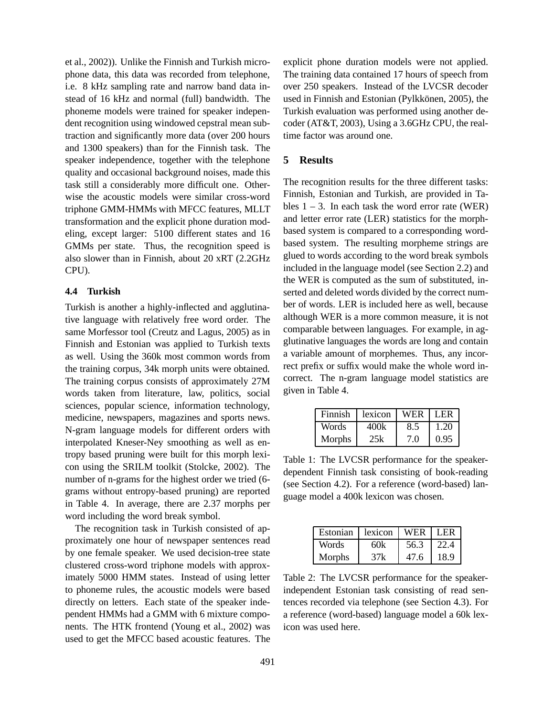et al., 2002)). Unlike the Finnish and Turkish microphone data, this data was recorded from telephone, i.e. 8 kHz sampling rate and narrow band data instead of 16 kHz and normal (full) bandwidth. The phoneme models were trained for speaker independent recognition using windowed cepstral mean subtraction and significantly more data (over 200 hours and 1300 speakers) than for the Finnish task. The speaker independence, together with the telephone quality and occasional background noises, made this task still a considerably more difficult one. Otherwise the acoustic models were similar cross-word triphone GMM-HMMs with MFCC features, MLLT transformation and the explicit phone duration modeling, except larger: 5100 different states and 16 GMMs per state. Thus, the recognition speed is also slower than in Finnish, about 20 xRT (2.2GHz CPU).

#### **4.4 Turkish**

Turkish is another a highly-inflected and agglutinative language with relatively free word order. The same Morfessor tool (Creutz and Lagus, 2005) as in Finnish and Estonian was applied to Turkish texts as well. Using the 360k most common words from the training corpus, 34k morph units were obtained. The training corpus consists of approximately 27M words taken from literature, law, politics, social sciences, popular science, information technology, medicine, newspapers, magazines and sports news. N-gram language models for different orders with interpolated Kneser-Ney smoothing as well as entropy based pruning were built for this morph lexicon using the SRILM toolkit (Stolcke, 2002). The number of n-grams for the highest order we tried (6 grams without entropy-based pruning) are reported in Table 4. In average, there are 2.37 morphs per word including the word break symbol.

The recognition task in Turkish consisted of approximately one hour of newspaper sentences read by one female speaker. We used decision-tree state clustered cross-word triphone models with approximately 5000 HMM states. Instead of using letter to phoneme rules, the acoustic models were based directly on letters. Each state of the speaker independent HMMs had a GMM with 6 mixture components. The HTK frontend (Young et al., 2002) was used to get the MFCC based acoustic features. The

explicit phone duration models were not applied. The training data contained 17 hours of speech from over 250 speakers. Instead of the LVCSR decoder used in Finnish and Estonian (Pylkkönen, 2005), the Turkish evaluation was performed using another decoder (AT&T, 2003), Using a 3.6GHz CPU, the realtime factor was around one.

### **5 Results**

The recognition results for the three different tasks: Finnish, Estonian and Turkish, are provided in Tables  $1 - 3$ . In each task the word error rate (WER) and letter error rate (LER) statistics for the morphbased system is compared to a corresponding wordbased system. The resulting morpheme strings are glued to words according to the word break symbols included in the language model (see Section 2.2) and the WER is computed as the sum of substituted, inserted and deleted words divided by the correct number of words. LER is included here as well, because although WER is a more common measure, it is not comparable between languages. For example, in agglutinative languages the words are long and contain a variable amount of morphemes. Thus, any incorrect prefix or suffix would make the whole word incorrect. The n-gram language model statistics are given in Table 4.

| Finnish | lexicon | <b>WER</b> | LER  |
|---------|---------|------------|------|
| Words   | 400k    | 8.5        | 1.20 |
| Morphs  | 25k     | 7.0        | 0.95 |

Table 1: The LVCSR performance for the speakerdependent Finnish task consisting of book-reading (see Section 4.2). For a reference (word-based) language model a 400k lexicon was chosen.

| Estonian      | lexicon | WER  | I LER |
|---------------|---------|------|-------|
| Words         | 60k     | 56.3 | 22.4  |
| <b>Morphs</b> | 37k     | 47.6 | 18.9  |

Table 2: The LVCSR performance for the speakerindependent Estonian task consisting of read sentences recorded via telephone (see Section 4.3). For a reference (word-based) language model a 60k lexicon was used here.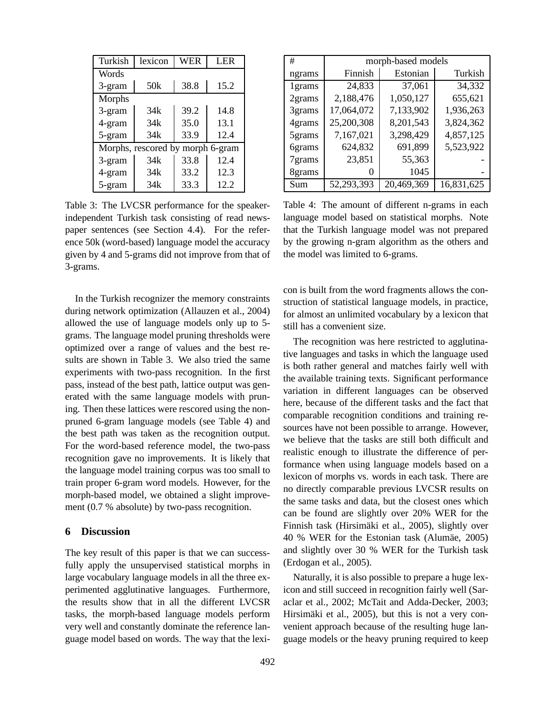| Turkish                          | lexicon | WER  | LER <sup>1</sup> |  |  |
|----------------------------------|---------|------|------------------|--|--|
| Words                            |         |      |                  |  |  |
| 3-gram                           | 50k     | 38.8 | 15.2             |  |  |
| Morphs                           |         |      |                  |  |  |
| 3-gram                           | 34k     | 39.2 | 14.8             |  |  |
| 4-gram                           | 34k     | 35.0 | 13.1             |  |  |
| 5-gram                           | 34k     | 33.9 | 12.4             |  |  |
| Morphs, rescored by morph 6-gram |         |      |                  |  |  |
| 3-gram                           | 34k     | 33.8 | 12.4             |  |  |
| 4-gram                           | 34k     | 33.2 | 12.3             |  |  |
| 5-gram                           | 34k     | 33.3 | 12.2             |  |  |

Table 3: The LVCSR performance for the speakerindependent Turkish task consisting of read newspaper sentences (see Section 4.4). For the reference 50k (word-based) language model the accuracy given by 4 and 5-grams did not improve from that of 3-grams.

In the Turkish recognizer the memory constraints during network optimization (Allauzen et al., 2004) allowed the use of language models only up to 5 grams. The language model pruning thresholds were optimized over a range of values and the best results are shown in Table 3. We also tried the same experiments with two-pass recognition. In the first pass, instead of the best path, lattice output was generated with the same language models with pruning. Then these lattices were rescored using the nonpruned 6-gram language models (see Table 4) and the best path was taken as the recognition output. For the word-based reference model, the two-pass recognition gave no improvements. It is likely that the language model training corpus was too small to train proper 6-gram word models. However, for the morph-based model, we obtained a slight improvement (0.7 % absolute) by two-pass recognition.

#### **6 Discussion**

The key result of this paper is that we can successfully apply the unsupervised statistical morphs in large vocabulary language models in all the three experimented agglutinative languages. Furthermore, the results show that in all the different LVCSR tasks, the morph-based language models perform very well and constantly dominate the reference language model based on words. The way that the lexi-

| #                  | morph-based models |            |            |  |
|--------------------|--------------------|------------|------------|--|
| ngrams             | Finnish            | Estonian   | Turkish    |  |
| 1 <sub>grams</sub> | 24,833             | 37,061     | 34,332     |  |
| 2grams             | 2,188,476          | 1,050,127  | 655,621    |  |
| 3grams             | 17,064,072         | 7,133,902  | 1,936,263  |  |
| 4grams             | 25,200,308         | 8,201,543  | 3,824,362  |  |
| 5grams             | 7,167,021          | 3,298,429  | 4,857,125  |  |
| 6grams             | 624,832            | 691,899    | 5,523,922  |  |
| 7grams             | 23,851             | 55,363     |            |  |
| 8grams             |                    | 1045       |            |  |
| Sum                | 52.293.393         | 20,469,369 | 16,831,625 |  |

Table 4: The amount of different n-grams in each language model based on statistical morphs. Note that the Turkish language model was not prepared by the growing n-gram algorithm as the others and the model was limited to 6-grams.

con is built from the word fragments allows the construction of statistical language models, in practice, for almost an unlimited vocabulary by a lexicon that still has a convenient size.

The recognition was here restricted to agglutinative languages and tasks in which the language used is both rather general and matches fairly well with the available training texts. Significant performance variation in different languages can be observed here, because of the different tasks and the fact that comparable recognition conditions and training resources have not been possible to arrange. However, we believe that the tasks are still both difficult and realistic enough to illustrate the difference of performance when using language models based on a lexicon of morphs vs. words in each task. There are no directly comparable previous LVCSR results on the same tasks and data, but the closest ones which can be found are slightly over 20% WER for the Finnish task (Hirsimäki et al., 2005), slightly over 40 % WER for the Estonian task (Alumäe, 2005) and slightly over 30 % WER for the Turkish task (Erdogan et al., 2005).

Naturally, it is also possible to prepare a huge lexicon and still succeed in recognition fairly well (Saraclar et al., 2002; McTait and Adda-Decker, 2003; Hirsimäki et al., 2005), but this is not a very convenient approach because of the resulting huge language models or the heavy pruning required to keep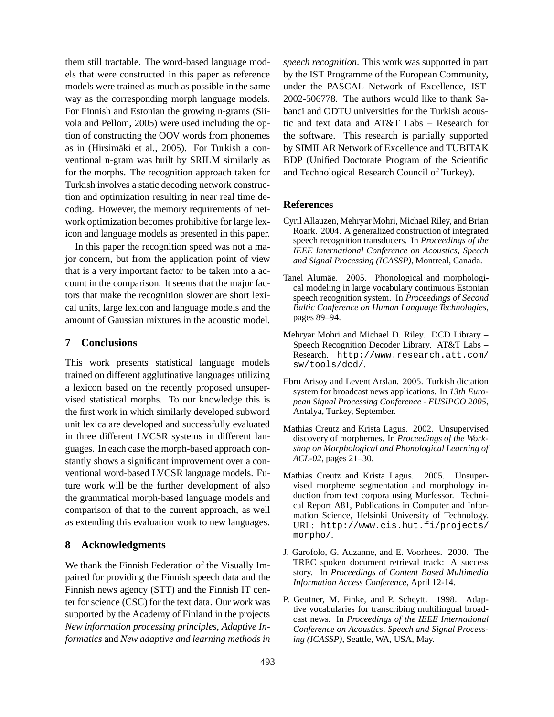them still tractable. The word-based language models that were constructed in this paper as reference models were trained as much as possible in the same way as the corresponding morph language models. For Finnish and Estonian the growing n-grams (Siivola and Pellom, 2005) were used including the option of constructing the OOV words from phonemes as in (Hirsimäki et al., 2005). For Turkish a conventional n-gram was built by SRILM similarly as for the morphs. The recognition approach taken for Turkish involves a static decoding network construction and optimization resulting in near real time decoding. However, the memory requirements of network optimization becomes prohibitive for large lexicon and language models as presented in this paper.

In this paper the recognition speed was not a major concern, but from the application point of view that is a very important factor to be taken into a account in the comparison. It seems that the major factors that make the recognition slower are short lexical units, large lexicon and language models and the amount of Gaussian mixtures in the acoustic model.

# **7 Conclusions**

This work presents statistical language models trained on different agglutinative languages utilizing a lexicon based on the recently proposed unsupervised statistical morphs. To our knowledge this is the first work in which similarly developed subword unit lexica are developed and successfully evaluated in three different LVCSR systems in different languages. In each case the morph-based approach constantly shows a significant improvement over a conventional word-based LVCSR language models. Future work will be the further development of also the grammatical morph-based language models and comparison of that to the current approach, as well as extending this evaluation work to new languages.

## **8 Acknowledgments**

We thank the Finnish Federation of the Visually Impaired for providing the Finnish speech data and the Finnish news agency (STT) and the Finnish IT center for science (CSC) for the text data. Our work was supported by the Academy of Finland in the projects *New information processing principles*, *Adaptive Informatics* and *New adaptive and learning methods in* *speech recognition*. This work was supported in part by the IST Programme of the European Community, under the PASCAL Network of Excellence, IST-2002-506778. The authors would like to thank Sabanci and ODTU universities for the Turkish acoustic and text data and AT&T Labs – Research for the software. This research is partially supported by SIMILAR Network of Excellence and TUBITAK BDP (Unified Doctorate Program of the Scientific and Technological Research Council of Turkey).

#### **References**

- Cyril Allauzen, Mehryar Mohri, Michael Riley, and Brian Roark. 2004. A generalized construction of integrated speech recognition transducers. In *Proceedings of the IEEE International Conference on Acoustics, Speech and Signal Processing (ICASSP)*, Montreal, Canada.
- Tanel Alumäe. 2005. Phonological and morphological modeling in large vocabulary continuous Estonian speech recognition system. In *Proceedings of Second Baltic Conference on Human Language Technologies*, pages 89–94.
- Mehryar Mohri and Michael D. Riley. DCD Library Speech Recognition Decoder Library. AT&T Labs – Research. http://www.research.att.com/ sw/tools/dcd/.
- Ebru Arisoy and Levent Arslan. 2005. Turkish dictation system for broadcast news applications. In *13th European Signal Processing Conference - EUSIPCO 2005*, Antalya, Turkey, September.
- Mathias Creutz and Krista Lagus. 2002. Unsupervised discovery of morphemes. In *Proceedings of the Workshop on Morphological and Phonological Learning of ACL-02*, pages 21–30.
- Mathias Creutz and Krista Lagus. 2005. Unsupervised morpheme segmentation and morphology induction from text corpora using Morfessor. Technical Report A81, Publications in Computer and Information Science, Helsinki University of Technology. URL: http://www.cis.hut.fi/projects/ morpho/.
- J. Garofolo, G. Auzanne, and E. Voorhees. 2000. The TREC spoken document retrieval track: A success story. In *Proceedings of Content Based Multimedia Information Access Conference*, April 12-14.
- P. Geutner, M. Finke, and P. Scheytt. 1998. Adaptive vocabularies for transcribing multilingual broadcast news. In *Proceedings of the IEEE International Conference on Acoustics, Speech and Signal Processing (ICASSP)*, Seattle, WA, USA, May.